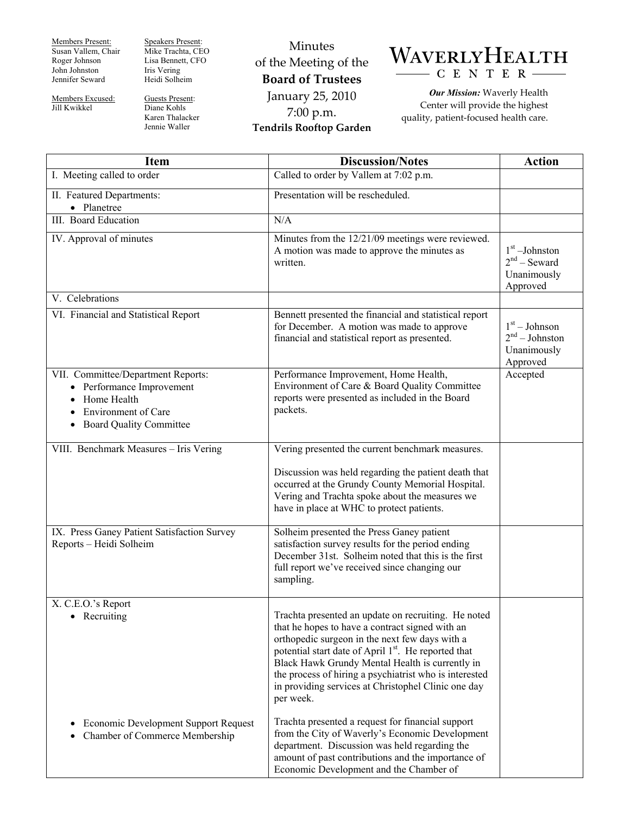Members Present: Susan Vallem, Chair Roger Johnson John Johnston Jennifer Seward

Members Excused: Jill Kwikkel

Speakers Present: Mike Trachta, CEO Lisa Bennett, CFO Iris Vering Heidi Solheim

Guests Present: Diane Kohls Karen Thalacker Jennie Waller

Minutes of the Meeting of the **Board of Trustees**  January 25, 2010 7:00 p.m. **Tendrils Rooftop Garden** 



*Our Mission:* Waverly Health Center will provide the highest quality, patient-focused health care.

| <b>Item</b>                                                                                                                                         | <b>Discussion/Notes</b>                                                                                                                                                                                                                                                                                                                                                                                                                                                                                                                                                                                                                                                 | <b>Action</b>                                                  |
|-----------------------------------------------------------------------------------------------------------------------------------------------------|-------------------------------------------------------------------------------------------------------------------------------------------------------------------------------------------------------------------------------------------------------------------------------------------------------------------------------------------------------------------------------------------------------------------------------------------------------------------------------------------------------------------------------------------------------------------------------------------------------------------------------------------------------------------------|----------------------------------------------------------------|
| I. Meeting called to order                                                                                                                          | Called to order by Vallem at 7:02 p.m.                                                                                                                                                                                                                                                                                                                                                                                                                                                                                                                                                                                                                                  |                                                                |
| II. Featured Departments:<br>• Planetree                                                                                                            | Presentation will be rescheduled.                                                                                                                                                                                                                                                                                                                                                                                                                                                                                                                                                                                                                                       |                                                                |
| <b>III.</b> Board Education                                                                                                                         | N/A                                                                                                                                                                                                                                                                                                                                                                                                                                                                                                                                                                                                                                                                     |                                                                |
| IV. Approval of minutes                                                                                                                             | Minutes from the 12/21/09 meetings were reviewed.<br>A motion was made to approve the minutes as<br>written.                                                                                                                                                                                                                                                                                                                                                                                                                                                                                                                                                            | $1st$ -Johnston<br>$2nd$ – Seward<br>Unanimously<br>Approved   |
| V. Celebrations                                                                                                                                     |                                                                                                                                                                                                                                                                                                                                                                                                                                                                                                                                                                                                                                                                         |                                                                |
| VI. Financial and Statistical Report                                                                                                                | Bennett presented the financial and statistical report<br>for December. A motion was made to approve<br>financial and statistical report as presented.                                                                                                                                                                                                                                                                                                                                                                                                                                                                                                                  | $1st - Johnson$<br>$2nd - Johnston$<br>Unanimously<br>Approved |
| VII. Committee/Department Reports:<br>• Performance Improvement<br>Home Health<br><b>Environment of Care</b><br><b>Board Quality Committee</b><br>٠ | Performance Improvement, Home Health,<br>Environment of Care & Board Quality Committee<br>reports were presented as included in the Board<br>packets.                                                                                                                                                                                                                                                                                                                                                                                                                                                                                                                   | Accepted                                                       |
| VIII. Benchmark Measures - Iris Vering                                                                                                              | Vering presented the current benchmark measures.                                                                                                                                                                                                                                                                                                                                                                                                                                                                                                                                                                                                                        |                                                                |
|                                                                                                                                                     | Discussion was held regarding the patient death that<br>occurred at the Grundy County Memorial Hospital.<br>Vering and Trachta spoke about the measures we<br>have in place at WHC to protect patients.                                                                                                                                                                                                                                                                                                                                                                                                                                                                 |                                                                |
| IX. Press Ganey Patient Satisfaction Survey<br>Reports - Heidi Solheim                                                                              | Solheim presented the Press Ganey patient<br>satisfaction survey results for the period ending<br>December 31st. Solheim noted that this is the first<br>full report we've received since changing our<br>sampling.                                                                                                                                                                                                                                                                                                                                                                                                                                                     |                                                                |
| X. C.E.O.'s Report<br>Recruiting<br>Economic Development Support Request<br>Chamber of Commerce Membership                                          | Trachta presented an update on recruiting. He noted<br>that he hopes to have a contract signed with an<br>orthopedic surgeon in the next few days with a<br>potential start date of April 1 <sup>st</sup> . He reported that<br>Black Hawk Grundy Mental Health is currently in<br>the process of hiring a psychiatrist who is interested<br>in providing services at Christophel Clinic one day<br>per week.<br>Trachta presented a request for financial support<br>from the City of Waverly's Economic Development<br>department. Discussion was held regarding the<br>amount of past contributions and the importance of<br>Economic Development and the Chamber of |                                                                |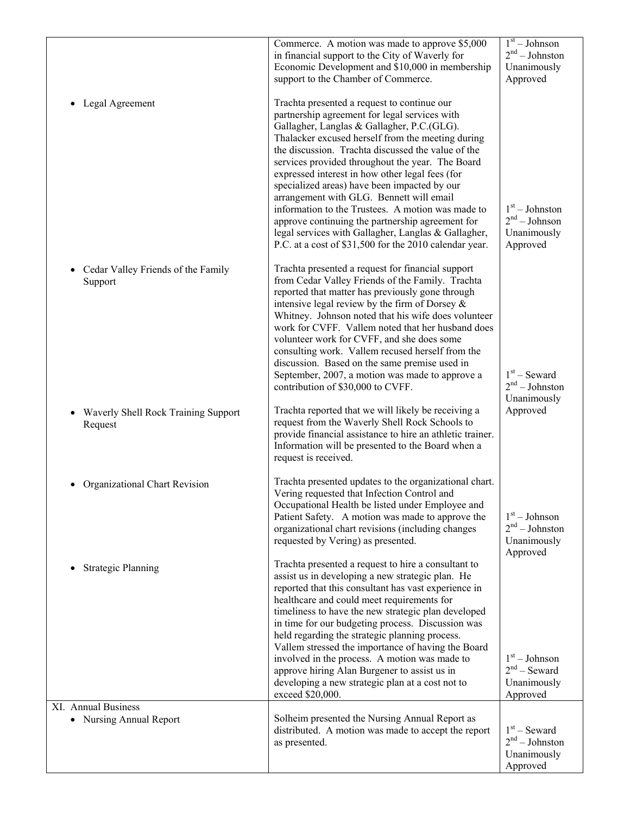|                                                | Commerce. A motion was made to approve \$5,000<br>in financial support to the City of Waverly for<br>Economic Development and \$10,000 in membership<br>support to the Chamber of Commerce.                                                                                                                                                                                                                                                                                                                                                                                                                                                                                        | $1st - Johnson$<br>$2nd - Johnston$<br>Unanimously<br>Approved |
|------------------------------------------------|------------------------------------------------------------------------------------------------------------------------------------------------------------------------------------------------------------------------------------------------------------------------------------------------------------------------------------------------------------------------------------------------------------------------------------------------------------------------------------------------------------------------------------------------------------------------------------------------------------------------------------------------------------------------------------|----------------------------------------------------------------|
| Legal Agreement                                | Trachta presented a request to continue our<br>partnership agreement for legal services with<br>Gallagher, Langlas & Gallagher, P.C.(GLG).<br>Thalacker excused herself from the meeting during<br>the discussion. Trachta discussed the value of the<br>services provided throughout the year. The Board<br>expressed interest in how other legal fees (for<br>specialized areas) have been impacted by our<br>arrangement with GLG. Bennett will email<br>information to the Trustees. A motion was made to<br>approve continuing the partnership agreement for<br>legal services with Gallagher, Langlas & Gallagher,<br>P.C. at a cost of \$31,500 for the 2010 calendar year. | $1st - Johnston$<br>$2nd - Johnson$<br>Unanimously<br>Approved |
| Cedar Valley Friends of the Family<br>Support  | Trachta presented a request for financial support<br>from Cedar Valley Friends of the Family. Trachta<br>reported that matter has previously gone through<br>intensive legal review by the firm of Dorsey $\&$<br>Whitney. Johnson noted that his wife does volunteer<br>work for CVFF. Vallem noted that her husband does<br>volunteer work for CVFF, and she does some<br>consulting work. Vallem recused herself from the<br>discussion. Based on the same premise used in<br>September, 2007, a motion was made to approve a<br>contribution of \$30,000 to CVFF.                                                                                                              | $1st$ – Seward<br>$2nd - Johnston$<br>Unanimously              |
| Waverly Shell Rock Training Support<br>Request | Trachta reported that we will likely be receiving a<br>request from the Waverly Shell Rock Schools to<br>provide financial assistance to hire an athletic trainer.<br>Information will be presented to the Board when a<br>request is received.                                                                                                                                                                                                                                                                                                                                                                                                                                    | Approved                                                       |
| Organizational Chart Revision                  | Trachta presented updates to the organizational chart.<br>Vering requested that Infection Control and<br>Occupational Health be listed under Employee and<br>Patient Safety. A motion was made to approve the<br>organizational chart revisions (including changes<br>requested by Vering) as presented.                                                                                                                                                                                                                                                                                                                                                                           | $1st - Johnson$<br>$2nd - Johnston$<br>Unanimously<br>Approved |
| <b>Strategic Planning</b>                      | Trachta presented a request to hire a consultant to<br>assist us in developing a new strategic plan. He<br>reported that this consultant has vast experience in<br>healthcare and could meet requirements for<br>timeliness to have the new strategic plan developed<br>in time for our budgeting process. Discussion was<br>held regarding the strategic planning process.<br>Vallem stressed the importance of having the Board<br>involved in the process. A motion was made to<br>approve hiring Alan Burgener to assist us in<br>developing a new strategic plan at a cost not to<br>exceed \$20,000.                                                                         | $1st - Johnson$<br>$2nd$ – Seward<br>Unanimously<br>Approved   |
| XI. Annual Business<br>• Nursing Annual Report | Solheim presented the Nursing Annual Report as<br>distributed. A motion was made to accept the report<br>as presented.                                                                                                                                                                                                                                                                                                                                                                                                                                                                                                                                                             | $1st$ – Seward<br>$2nd - Johnston$<br>Unanimously<br>Approved  |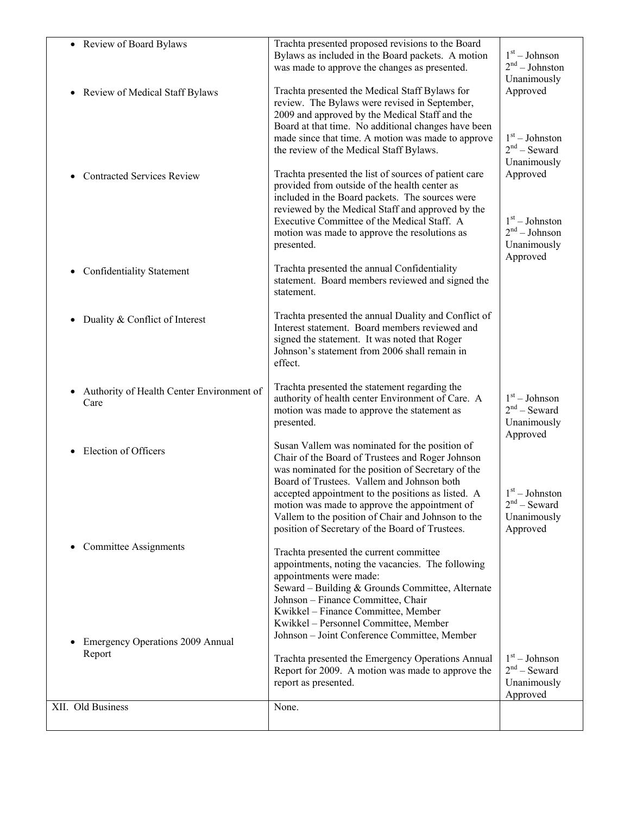| • Review of Board Bylaws                                    | Trachta presented proposed revisions to the Board<br>Bylaws as included in the Board packets. A motion<br>was made to approve the changes as presented.                                                                                                                                                                                           | $1st - Johnson$<br>$2nd - Johnston$<br>Unanimously                                   |
|-------------------------------------------------------------|---------------------------------------------------------------------------------------------------------------------------------------------------------------------------------------------------------------------------------------------------------------------------------------------------------------------------------------------------|--------------------------------------------------------------------------------------|
| • Review of Medical Staff Bylaws                            | Trachta presented the Medical Staff Bylaws for<br>review. The Bylaws were revised in September,<br>2009 and approved by the Medical Staff and the<br>Board at that time. No additional changes have been<br>made since that time. A motion was made to approve<br>the review of the Medical Staff Bylaws.                                         | Approved<br>$1st - Johnston$<br>$2nd$ – Seward<br>Unanimously                        |
| • Contracted Services Review                                | Trachta presented the list of sources of patient care<br>provided from outside of the health center as<br>included in the Board packets. The sources were<br>reviewed by the Medical Staff and approved by the<br>Executive Committee of the Medical Staff. A<br>motion was made to approve the resolutions as<br>presented.                      | Approved<br>$1st - Johnston$<br>2 <sup>nd</sup> – Johnson<br>Unanimously<br>Approved |
| <b>Confidentiality Statement</b>                            | Trachta presented the annual Confidentiality<br>statement. Board members reviewed and signed the<br>statement.                                                                                                                                                                                                                                    |                                                                                      |
| Duality & Conflict of Interest                              | Trachta presented the annual Duality and Conflict of<br>Interest statement. Board members reviewed and<br>signed the statement. It was noted that Roger<br>Johnson's statement from 2006 shall remain in<br>effect.                                                                                                                               |                                                                                      |
| • Authority of Health Center Environment of<br>Care         | Trachta presented the statement regarding the<br>authority of health center Environment of Care. A<br>motion was made to approve the statement as<br>presented.                                                                                                                                                                                   | $1st - Johnson$<br>$2nd$ – Seward<br>Unanimously<br>Approved                         |
| Election of Officers                                        | Susan Vallem was nominated for the position of<br>Chair of the Board of Trustees and Roger Johnson<br>was nominated for the position of Secretary of the<br>Board of Trustees. Vallem and Johnson both<br>accepted appointment to the positions as listed. A                                                                                      | $1st - Johnston$                                                                     |
|                                                             | motion was made to approve the appointment of<br>Vallem to the position of Chair and Johnson to the<br>position of Secretary of the Board of Trustees.                                                                                                                                                                                            | $2nd$ – Seward<br>Unanimously<br>Approved                                            |
| • Committee Assignments<br>Emergency Operations 2009 Annual | Trachta presented the current committee<br>appointments, noting the vacancies. The following<br>appointments were made:<br>Seward - Building & Grounds Committee, Alternate<br>Johnson - Finance Committee, Chair<br>Kwikkel - Finance Committee, Member<br>Kwikkel - Personnel Committee, Member<br>Johnson - Joint Conference Committee, Member |                                                                                      |
| Report                                                      | Trachta presented the Emergency Operations Annual<br>Report for 2009. A motion was made to approve the<br>report as presented.                                                                                                                                                                                                                    | $1st - Johnson$<br>$2nd$ – Seward<br>Unanimously<br>Approved                         |
| XII. Old Business                                           | None.                                                                                                                                                                                                                                                                                                                                             |                                                                                      |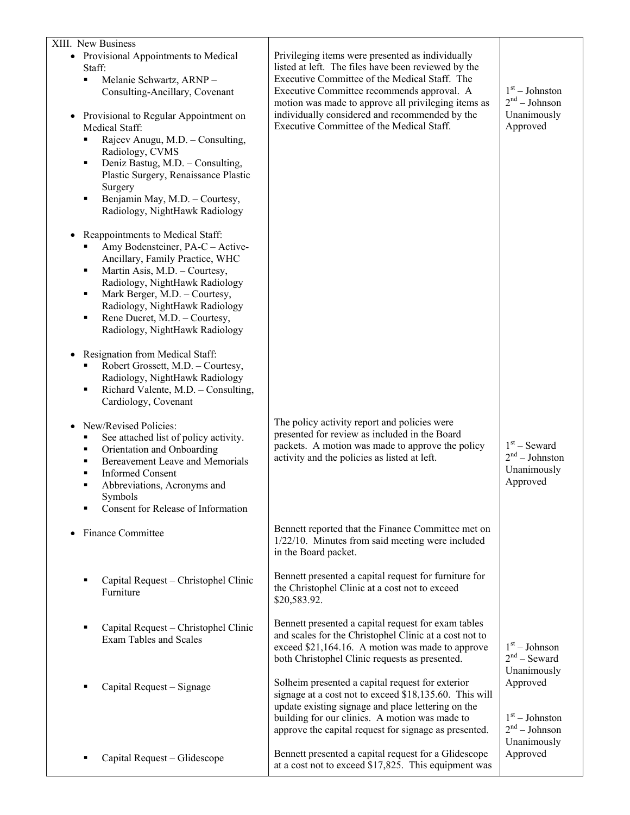| XIII. New Business                                                                                                                                                                                                                                                                                                                                                                                                                                                                                                                                                                                                                                                                                                                                                                                                             |                                                                                                                                                                                                                                                                             |                                                                |
|--------------------------------------------------------------------------------------------------------------------------------------------------------------------------------------------------------------------------------------------------------------------------------------------------------------------------------------------------------------------------------------------------------------------------------------------------------------------------------------------------------------------------------------------------------------------------------------------------------------------------------------------------------------------------------------------------------------------------------------------------------------------------------------------------------------------------------|-----------------------------------------------------------------------------------------------------------------------------------------------------------------------------------------------------------------------------------------------------------------------------|----------------------------------------------------------------|
| • Provisional Appointments to Medical<br>Staff:<br>Melanie Schwartz, ARNP-<br>٠<br>Consulting-Ancillary, Covenant                                                                                                                                                                                                                                                                                                                                                                                                                                                                                                                                                                                                                                                                                                              | Privileging items were presented as individually<br>listed at left. The files have been reviewed by the<br>Executive Committee of the Medical Staff. The<br>Executive Committee recommends approval. A<br>motion was made to approve all privileging items as               | $1st - Johnston$<br>$2nd - Johnson$                            |
| Provisional to Regular Appointment on<br>Medical Staff:<br>Rajeev Anugu, M.D. - Consulting,<br>Radiology, CVMS<br>Deniz Bastug, M.D. - Consulting,<br>٠<br>Plastic Surgery, Renaissance Plastic<br>Surgery<br>Benjamin May, M.D. - Courtesy,<br>٠<br>Radiology, NightHawk Radiology<br>Reappointments to Medical Staff:<br>$\bullet$<br>Amy Bodensteiner, PA-C - Active-<br>Ancillary, Family Practice, WHC<br>Martin Asis, M.D. - Courtesy,<br>п<br>Radiology, NightHawk Radiology<br>Mark Berger, M.D. - Courtesy,<br>٠<br>Radiology, NightHawk Radiology<br>Rene Ducret, M.D. - Courtesy,<br>٠<br>Radiology, NightHawk Radiology<br>Resignation from Medical Staff:<br>$\bullet$<br>Robert Grossett, M.D. - Courtesy,<br>Radiology, NightHawk Radiology<br>Richard Valente, M.D. - Consulting,<br>٠<br>Cardiology, Covenant | individually considered and recommended by the<br>Executive Committee of the Medical Staff.                                                                                                                                                                                 | Unanimously<br>Approved                                        |
| New/Revised Policies:<br>٠<br>See attached list of policy activity.<br>Orientation and Onboarding<br>٠<br>Bereavement Leave and Memorials<br>٠<br><b>Informed Consent</b><br>٠<br>Abbreviations, Acronyms and<br>П<br>Symbols<br>Consent for Release of Information                                                                                                                                                                                                                                                                                                                                                                                                                                                                                                                                                            | The policy activity report and policies were<br>presented for review as included in the Board<br>packets. A motion was made to approve the policy<br>activity and the policies as listed at left.                                                                           | $1st$ – Seward<br>$2nd - Johnston$<br>Unanimously<br>Approved  |
| Finance Committee                                                                                                                                                                                                                                                                                                                                                                                                                                                                                                                                                                                                                                                                                                                                                                                                              | Bennett reported that the Finance Committee met on<br>1/22/10. Minutes from said meeting were included<br>in the Board packet.                                                                                                                                              |                                                                |
| Capital Request - Christophel Clinic<br>Е<br>Furniture                                                                                                                                                                                                                                                                                                                                                                                                                                                                                                                                                                                                                                                                                                                                                                         | Bennett presented a capital request for furniture for<br>the Christophel Clinic at a cost not to exceed<br>\$20,583.92.                                                                                                                                                     |                                                                |
| Capital Request - Christophel Clinic<br>٠<br><b>Exam Tables and Scales</b>                                                                                                                                                                                                                                                                                                                                                                                                                                                                                                                                                                                                                                                                                                                                                     | Bennett presented a capital request for exam tables<br>and scales for the Christophel Clinic at a cost not to<br>exceed \$21,164.16. A motion was made to approve<br>both Christophel Clinic requests as presented.                                                         | $1st - Johnson$<br>$2nd$ – Seward<br>Unanimously               |
| Capital Request – Signage<br>Е                                                                                                                                                                                                                                                                                                                                                                                                                                                                                                                                                                                                                                                                                                                                                                                                 | Solheim presented a capital request for exterior<br>signage at a cost not to exceed \$18,135.60. This will<br>update existing signage and place lettering on the<br>building for our clinics. A motion was made to<br>approve the capital request for signage as presented. | Approved<br>$1st - Johnston$<br>$2nd - Johnson$<br>Unanimously |
| Capital Request - Glidescope                                                                                                                                                                                                                                                                                                                                                                                                                                                                                                                                                                                                                                                                                                                                                                                                   | Bennett presented a capital request for a Glidescope<br>at a cost not to exceed \$17,825. This equipment was                                                                                                                                                                | Approved                                                       |